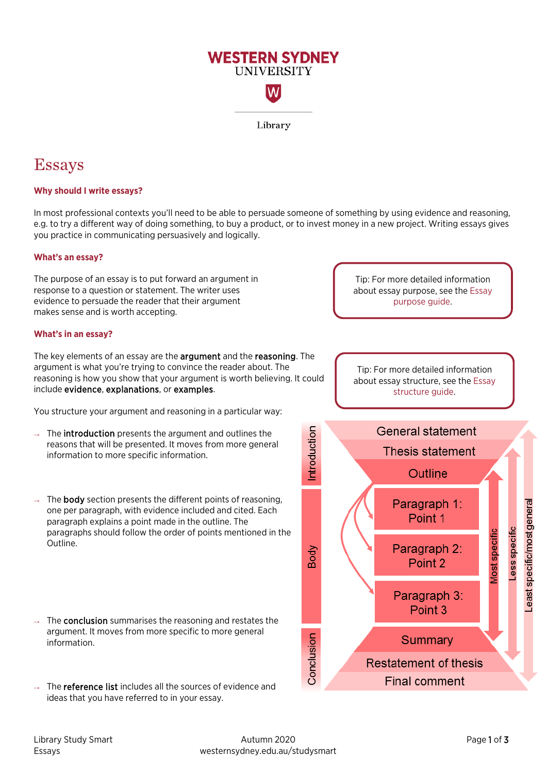

# Essays

# **Why should I write essays?**

In most professional contexts you'll need to be able to persuade someone of something by using evidence and reasoning, e.g. to try a different way of doing something, to buy a product, or to invest money in a new project. Writing essays gives you practice in communicating persuasively and logically.

### **What's an essay?**

The purpose of an essay is to put forward an argument in response to a question or statement. The writer uses evidence to persuade the reader that their argument makes sense and is worth accepting.

#### **What's in an essay?**

The key elements of an essay are the **argument** and the **reasoning**. The argument is what you're trying to convince the reader about. The reasoning is how you show that your argument is worth believing. It could include evidence, explanations, or examples.

You structure your argument and reasoning in a particular way:

- $\rightarrow$  The **introduction** presents the argument and outlines the reasons that will be presented. It moves from more general information to more specific information.
- $\rightarrow$  The **body** section presents the different points of reasoning, one per paragraph, with evidence included and cited. Each paragraph explains a point made in the outline. The paragraphs should follow the order of points mentioned in the Outline.
- The **conclusion** summarises the reasoning and restates the argument. It moves from more specific to more general information.
- $\rightarrow$  The **reference list** includes all the sources of evidence and ideas that you have referred to in your essay.

Tip: For more detailed information about essay purpose, see th[e Essay](https://westernsydney.edu.au/__data/assets/pdf_file/0005/1082498/Essay_Purpose.pdf)  [purpose guide.](https://westernsydney.edu.au/__data/assets/pdf_file/0005/1082498/Essay_Purpose.pdf)

Tip: For more detailed information about essay structure, see the [Essay](https://westernsydney.edu.au/__data/assets/pdf_file/0016/1082500/Essay_Structure.pdf)  [structure](https://westernsydney.edu.au/__data/assets/pdf_file/0016/1082500/Essay_Structure.pdf) guide.

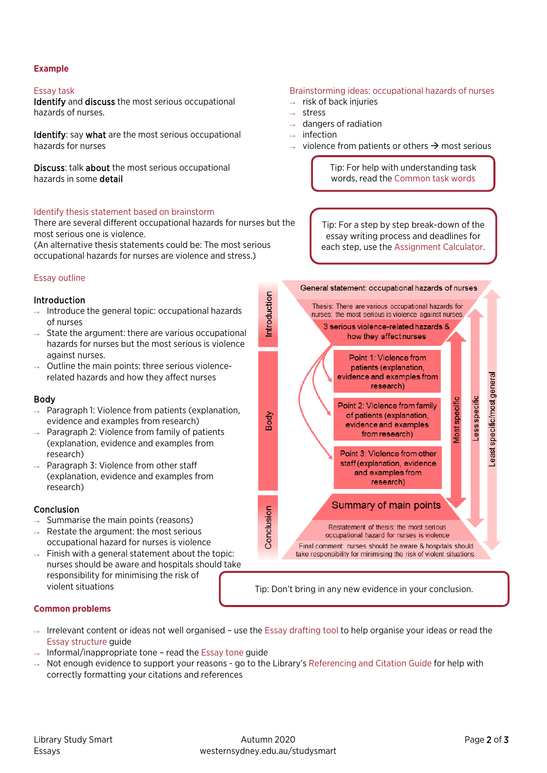### **Example**

### Essay task

Identify and discuss the most serious occupational hazards of nurses.

Identify: say what are the most serious occupational hazards for nurses

Discuss: talk about the most serious occupational hazards in some detail

### Identify thesis statement based on brainstorm

There are several different occupational hazards for nurses but the most serious one is violence.

(An alternative thesis statements could be: The most serious occupational hazards for nurses are violence and stress.)

# Essay outline

### Introduction

- $\rightarrow$  Introduce the general topic: occupational hazards of nurses
- $\rightarrow$  State the argument: there are various occupational hazards for nurses but the most serious is violence against nurses.
- $\rightarrow$  Outline the main points: three serious violencerelated hazards and how they affect nurses

### Body

- $\rightarrow$  Paragraph 1: Violence from patients (explanation, evidence and examples from research)
- $\rightarrow$  Paragraph 2: Violence from family of patients (explanation, evidence and examples from research)
- $\rightarrow$  Paragraph 3: Violence from other staff (explanation, evidence and examples from research)

# Conclusion

- $\rightarrow$  Summarise the main points (reasons)
- $\rightarrow$  Restate the argument: the most serious occupational hazard for nurses is violence
- $\rightarrow$  Finish with a general statement about the topic: nurses should be aware and hospitals should take responsibility for minimising the risk of

#### Brainstorming ideas: occupational hazards of nurses  $\rightarrow$  risk of back injuries stress

- 
- dangers of radiation
- $\rightarrow$  infection
- $\rightarrow$  violence from patients or others  $\rightarrow$  most serious

Tip: For help with understanding task words, read th[e Common task words](https://westernsydney.edu.au/__data/assets/pdf_file/0010/1082476/Common_Task_Words.pdf)

Tip: For a step by step break-down of the essay writing process and deadlines for each step, use the [Assignment Calculator.](http://library.westernsydney.edu.au/assignmentcalculator/)



violent situations Tip: Don't bring in any new evidence in your conclusion.

### **Common problems**

- $\rightarrow$  Irrelevant content or ideas not well organised use the [Essay drafting tool](https://westernsydney.edu.au/__data/assets/pdf_file/0005/1237829/Study_Smart_essay_drafting_tool.pdf) to help organise your ideas or read the [Essay structure](https://westernsydney.edu.au/__data/assets/pdf_file/0016/1082500/Essay_Structure.pdf) guide
- $\rightarrow$  Informal/inappropriate tone read the [Essay tone](https://westernsydney.edu.au/__data/assets/pdf_file/0006/1082508/Essay_Tone.pdf) guide
- $\rightarrow$  Not enough evidence to support your reasons go to the Library's [Referencing and Citation Guide](http://library.westernsydney.edu.au/main/guides/referencing-citation) for help with correctly formatting your citations and references